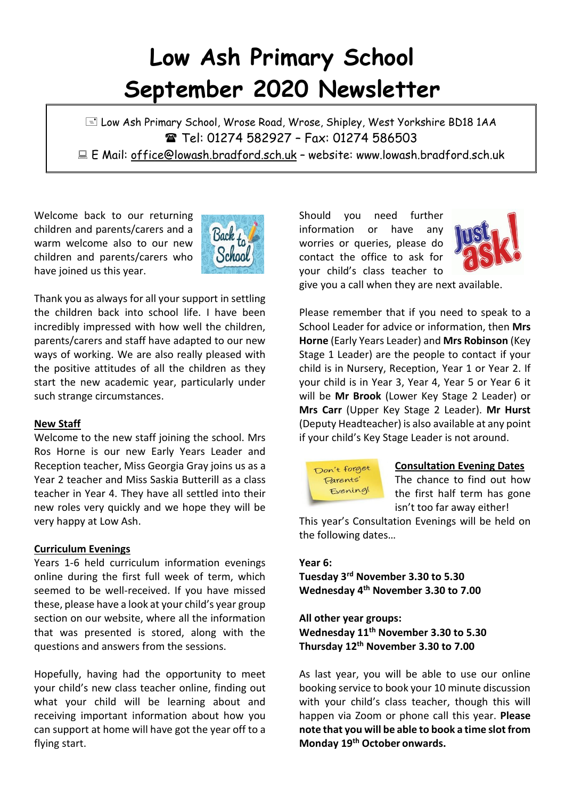# **Low Ash Primary School September 2020 Newsletter**

E Low Ash Primary School, Wrose Road, Wrose, Shipley, West Yorkshire BD18 1AA **■ Tel: 01274 582927 - Fax: 01274 586503** E Mail: office@lowash.bradford.sch.uk – website: www.lowash.bradford.sch.uk

Welcome back to our returning children and parents/carers and a warm welcome also to our new children and parents/carers who have joined us this year.



Thank you as always for all your support in settling the children back into school life. I have been incredibly impressed with how well the children, parents/carers and staff have adapted to our new ways of working. We are also really pleased with the positive attitudes of all the children as they start the new academic year, particularly under such strange circumstances.

## **New Staff**

Welcome to the new staff joining the school. Mrs Ros Horne is our new Early Years Leader and Reception teacher, Miss Georgia Gray joins us as a Year 2 teacher and Miss Saskia Butterill as a class teacher in Year 4. They have all settled into their new roles very quickly and we hope they will be very happy at Low Ash.

## **Curriculum Evenings**

Years 1-6 held curriculum information evenings online during the first full week of term, which seemed to be well-received. If you have missed these, please have a look at your child's year group section on our website, where all the information that was presented is stored, along with the questions and answers from the sessions.

Hopefully, having had the opportunity to meet your child's new class teacher online, finding out what your child will be learning about and receiving important information about how you can support at home will have got the year off to a flying start.

Should you need further information or have any worries or queries, please do contact the office to ask for your child's class teacher to



give you a call when they are next available.

Please remember that if you need to speak to a School Leader for advice or information, then **Mrs Horne** (Early Years Leader) and **Mrs Robinson** (Key Stage 1 Leader) are the people to contact if your child is in Nursery, Reception, Year 1 or Year 2. If your child is in Year 3, Year 4, Year 5 or Year 6 it will be **Mr Brook** (Lower Key Stage 2 Leader) or **Mrs Carr** (Upper Key Stage 2 Leader). **Mr Hurst** (Deputy Headteacher) is also available at any point if your child's Key Stage Leader is not around.



## **Consultation Evening Dates**

The chance to find out how the first half term has gone isn't too far away either!

This year's Consultation Evenings will be held on the following dates…

## **Year 6:**

**Tuesday 3rd November 3.30 to 5.30 Wednesday 4 th November 3.30 to 7.00**

**All other year groups: Wednesday 11th November 3.30 to 5.30 Thursday 12th November 3.30 to 7.00**

As last year, you will be able to use our online booking service to book your 10 minute discussion with your child's class teacher, though this will happen via Zoom or phone call this year. **Please note that you will be able to book a time slot from Monday 19th October onwards.**